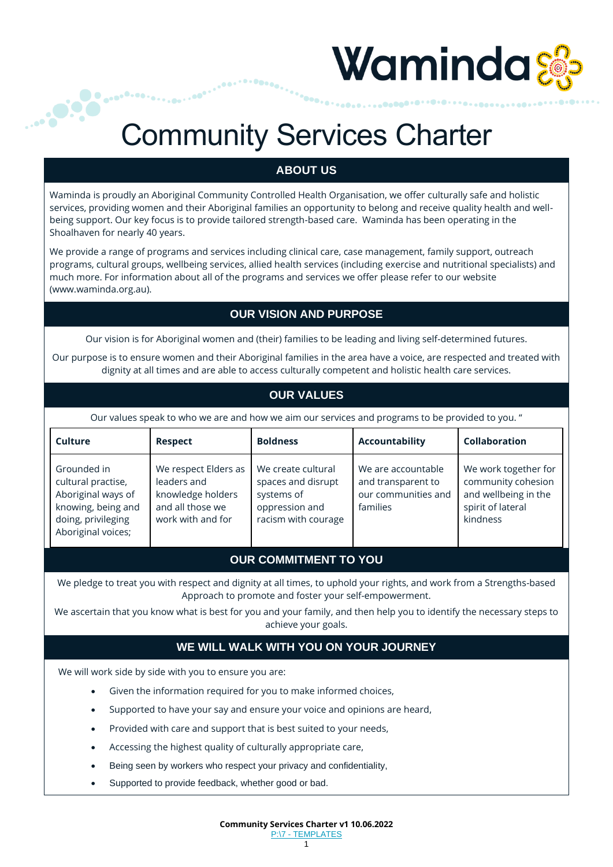# Waminda

### Community Services Charter

### **ABOUT US**

Waminda is proudly an Aboriginal Community Controlled Health Organisation, we offer culturally safe and holistic services, providing women and their Aboriginal families an opportunity to belong and receive quality health and wellbeing support. Our key focus is to provide tailored strength-based care. Waminda has been operating in the Shoalhaven for nearly 40 years.

We provide a range of programs and services including clinical care, case management, family support, outreach programs, cultural groups, wellbeing services, allied health services (including exercise and nutritional specialists) and much more. For information about all of the programs and services we offer please refer to our website [\(www.waminda.org.au\)](http://www.waminda.org.au/).

### **OUR VISION AND PURPOSE**

Our vision is for Aboriginal women and (their) families to be leading and living self-determined futures.

Our purpose is to ensure women and their Aboriginal families in the area have a voice, are respected and treated with dignity at all times and are able to access culturally competent and holistic health care services.

### **OUR VALUES**

Our values speak to who we are and how we aim our services and programs to be provided to you. "

| <b>Culture</b>                                                                                                            | <b>Respect</b>                                                                                    | <b>Boldness</b>                                                                                 | <b>Accountability</b>                                                       | <b>Collaboration</b>                                                                                |
|---------------------------------------------------------------------------------------------------------------------------|---------------------------------------------------------------------------------------------------|-------------------------------------------------------------------------------------------------|-----------------------------------------------------------------------------|-----------------------------------------------------------------------------------------------------|
| Grounded in<br>cultural practise,<br>Aboriginal ways of<br>knowing, being and<br>doing, privileging<br>Aboriginal voices; | We respect Elders as<br>leaders and<br>knowledge holders<br>and all those we<br>work with and for | We create cultural<br>spaces and disrupt<br>systems of<br>oppression and<br>racism with courage | We are accountable<br>and transparent to<br>our communities and<br>families | We work together for<br>community cohesion<br>and wellbeing in the<br>spirit of lateral<br>kindness |

### **OUR COMMITMENT TO YOU**

We pledge to treat you with respect and dignity at all times, to uphold your rights, and work from a Strengths-based Approach to promote and foster your self-empowerment.

We ascertain that you know what is best for you and your family, and then help you to identify the necessary steps to achieve your goals.

#### **WE WILL WALK WITH YOU ON YOUR JOURNEY**

We will work side by side with you to ensure you are:

- Given the information required for you to make informed choices,
- Supported to have your say and ensure your voice and opinions are heard,
- Provided with care and support that is best suited to your needs,
- Accessing the highest quality of culturally appropriate care,
- Being seen by workers who respect your privacy and confidentiality,
- Supported to provide feedback, whether good or bad.